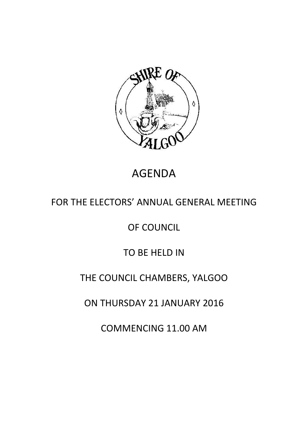

# AGENDA

# FOR THE ELECTORS' ANNUAL GENERAL MEETING

### OF COUNCIL

### TO BE HELD IN

## THE COUNCIL CHAMBERS, YALGOO

### ON THURSDAY 21 JANUARY 2016

COMMENCING 11.00 AM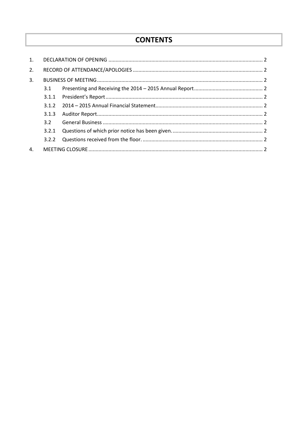### **CONTENTS**

| 1. |       |  |  |
|----|-------|--|--|
| 2. |       |  |  |
| 3. |       |  |  |
|    | 3.1   |  |  |
|    | 3.1.1 |  |  |
|    | 3.1.2 |  |  |
|    | 3.1.3 |  |  |
|    | 3.2   |  |  |
|    | 3.2.1 |  |  |
|    | 3.2.2 |  |  |
| 4. |       |  |  |